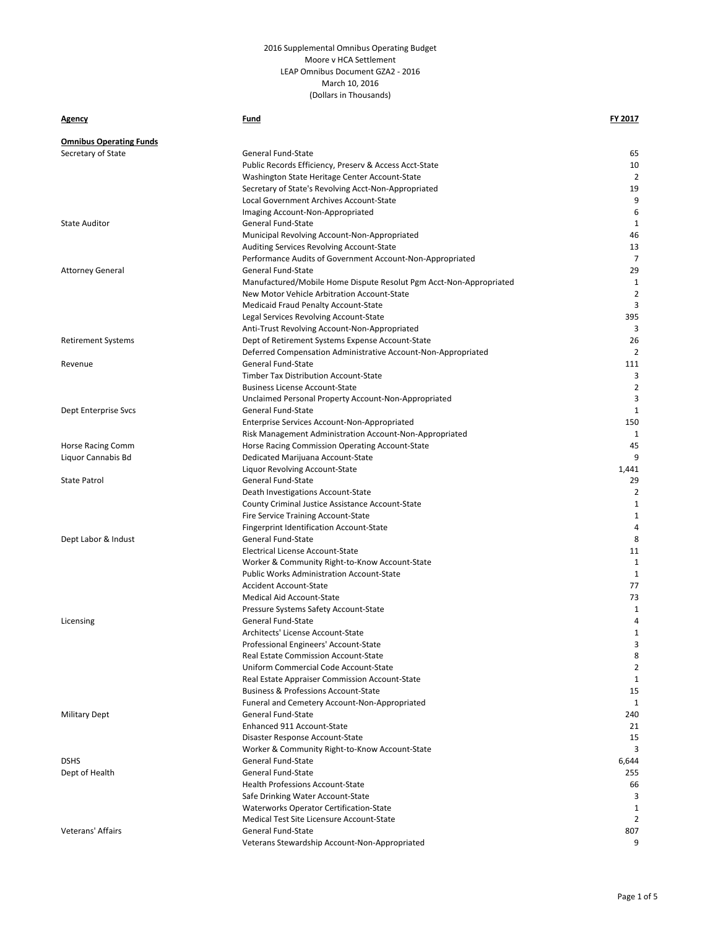### **Agency Fund FY 2017**

| <b>Omnibus Operating Funds</b> |                                                                               |                   |
|--------------------------------|-------------------------------------------------------------------------------|-------------------|
| Secretary of State             | <b>General Fund-State</b>                                                     | 65                |
|                                | Public Records Efficiency, Preserv & Access Acct-State                        | 10                |
|                                | Washington State Heritage Center Account-State                                | 2                 |
|                                | Secretary of State's Revolving Acct-Non-Appropriated                          | 19                |
|                                | Local Government Archives Account-State                                       | 9                 |
|                                | Imaging Account-Non-Appropriated                                              | 6                 |
| <b>State Auditor</b>           | General Fund-State                                                            | 1                 |
|                                | Municipal Revolving Account-Non-Appropriated                                  | 46                |
|                                | Auditing Services Revolving Account-State                                     | 13                |
|                                | Performance Audits of Government Account-Non-Appropriated                     | $\overline{7}$    |
| <b>Attorney General</b>        | <b>General Fund-State</b>                                                     | 29                |
|                                | Manufactured/Mobile Home Dispute Resolut Pgm Acct-Non-Appropriated            | 1                 |
|                                | New Motor Vehicle Arbitration Account-State                                   | 2                 |
|                                | <b>Medicaid Fraud Penalty Account-State</b>                                   | 3                 |
|                                | Legal Services Revolving Account-State                                        | 395               |
|                                | Anti-Trust Revolving Account-Non-Appropriated                                 | 3                 |
| <b>Retirement Systems</b>      | Dept of Retirement Systems Expense Account-State                              | 26                |
|                                | Deferred Compensation Administrative Account-Non-Appropriated                 | 2                 |
| Revenue                        | General Fund-State                                                            | 111               |
|                                | Timber Tax Distribution Account-State                                         | 3                 |
|                                | <b>Business License Account-State</b>                                         | 2                 |
|                                | Unclaimed Personal Property Account-Non-Appropriated                          | 3                 |
| Dept Enterprise Svcs           | <b>General Fund-State</b>                                                     | $\mathbf{1}$      |
|                                | Enterprise Services Account-Non-Appropriated                                  | 150               |
|                                | Risk Management Administration Account-Non-Appropriated                       | 1                 |
| Horse Racing Comm              | Horse Racing Commission Operating Account-State                               | 45                |
| Liquor Cannabis Bd             | Dedicated Marijuana Account-State                                             | 9                 |
|                                | Liquor Revolving Account-State                                                | 1,441             |
| <b>State Patrol</b>            | General Fund-State                                                            | 29                |
|                                | Death Investigations Account-State                                            | $\overline{2}$    |
|                                |                                                                               | $\mathbf{1}$      |
|                                | County Criminal Justice Assistance Account-State                              | $\mathbf{1}$      |
|                                | Fire Service Training Account-State                                           | 4                 |
|                                | Fingerprint Identification Account-State<br>General Fund-State                | 8                 |
| Dept Labor & Indust            |                                                                               | 11                |
|                                | Electrical License Account-State                                              | 1                 |
|                                | Worker & Community Right-to-Know Account-State                                |                   |
|                                | <b>Public Works Administration Account-State</b>                              | 1                 |
|                                | <b>Accident Account-State</b><br><b>Medical Aid Account-State</b>             | 77<br>73          |
|                                |                                                                               |                   |
|                                | Pressure Systems Safety Account-State<br>General Fund-State                   | 1<br>4            |
| Licensing                      |                                                                               |                   |
|                                | Architects' License Account-State                                             | $\mathbf{1}$<br>3 |
|                                | Professional Engineers' Account-State                                         | 8                 |
|                                | Real Estate Commission Account-State<br>Uniform Commercial Code Account-State | 2                 |
|                                |                                                                               |                   |
|                                | Real Estate Appraiser Commission Account-State                                | $\mathbf{1}$      |
|                                | <b>Business &amp; Professions Account-State</b>                               | 15<br>1           |
|                                | Funeral and Cemetery Account-Non-Appropriated                                 |                   |
| <b>Military Dept</b>           | General Fund-State<br>Enhanced 911 Account-State                              | 240               |
|                                |                                                                               | 21                |
|                                | Disaster Response Account-State                                               | 15                |
|                                | Worker & Community Right-to-Know Account-State                                | 3                 |
| <b>DSHS</b>                    | General Fund-State                                                            | 6,644             |
| Dept of Health                 | General Fund-State                                                            | 255               |
|                                | <b>Health Professions Account-State</b>                                       | 66                |
|                                | Safe Drinking Water Account-State                                             | 3                 |
|                                | <b>Waterworks Operator Certification-State</b>                                | 1                 |
|                                | Medical Test Site Licensure Account-State                                     | 2                 |
| Veterans' Affairs              | General Fund-State                                                            | 807               |
|                                | Veterans Stewardship Account-Non-Appropriated                                 | 9                 |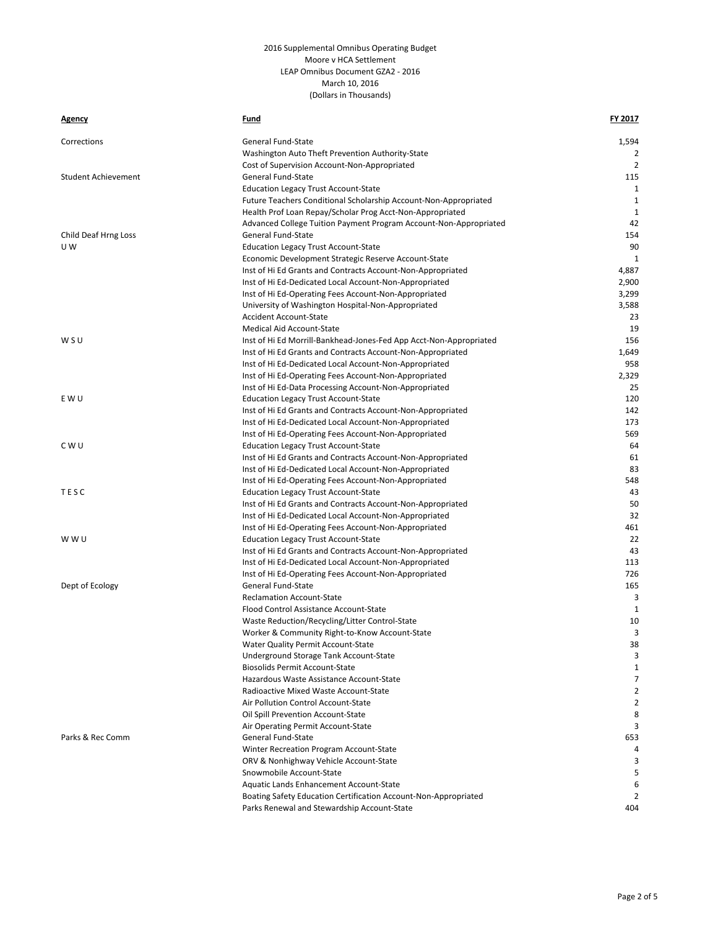| <u>Agency</u>              | Fund                                                               | FY 2017        |
|----------------------------|--------------------------------------------------------------------|----------------|
| Corrections                | General Fund-State                                                 | 1,594          |
|                            | Washington Auto Theft Prevention Authority-State                   | 2              |
|                            | Cost of Supervision Account-Non-Appropriated                       | $\overline{2}$ |
| <b>Student Achievement</b> | General Fund-State                                                 | 115            |
|                            | <b>Education Legacy Trust Account-State</b>                        | $\mathbf{1}$   |
|                            | Future Teachers Conditional Scholarship Account-Non-Appropriated   | $\mathbf{1}$   |
|                            | Health Prof Loan Repay/Scholar Prog Acct-Non-Appropriated          | $\mathbf{1}$   |
|                            | Advanced College Tuition Payment Program Account-Non-Appropriated  | 42             |
| Child Deaf Hrng Loss       | General Fund-State                                                 | 154            |
| U W                        | <b>Education Legacy Trust Account-State</b>                        | 90             |
|                            | Economic Development Strategic Reserve Account-State               | 1              |
|                            | Inst of Hi Ed Grants and Contracts Account-Non-Appropriated        | 4,887          |
|                            | Inst of Hi Ed-Dedicated Local Account-Non-Appropriated             | 2,900          |
|                            | Inst of Hi Ed-Operating Fees Account-Non-Appropriated              | 3,299          |
|                            | University of Washington Hospital-Non-Appropriated                 | 3,588          |
|                            | <b>Accident Account-State</b>                                      | 23             |
|                            | <b>Medical Aid Account-State</b>                                   | 19             |
| WSU                        | Inst of Hi Ed Morrill-Bankhead-Jones-Fed App Acct-Non-Appropriated | 156            |
|                            | Inst of Hi Ed Grants and Contracts Account-Non-Appropriated        | 1,649          |
|                            | Inst of Hi Ed-Dedicated Local Account-Non-Appropriated             | 958            |
|                            | Inst of Hi Ed-Operating Fees Account-Non-Appropriated              | 2,329          |
|                            | Inst of Hi Ed-Data Processing Account-Non-Appropriated             | 25             |
| E W U                      | <b>Education Legacy Trust Account-State</b>                        | 120            |
|                            | Inst of Hi Ed Grants and Contracts Account-Non-Appropriated        | 142            |
|                            | Inst of Hi Ed-Dedicated Local Account-Non-Appropriated             | 173            |
|                            | Inst of Hi Ed-Operating Fees Account-Non-Appropriated              | 569            |
| C W U                      | <b>Education Legacy Trust Account-State</b>                        | 64             |
|                            | Inst of Hi Ed Grants and Contracts Account-Non-Appropriated        | 61             |
|                            | Inst of Hi Ed-Dedicated Local Account-Non-Appropriated             | 83             |
|                            | Inst of Hi Ed-Operating Fees Account-Non-Appropriated              | 548            |
| TESC                       | <b>Education Legacy Trust Account-State</b>                        | 43             |
|                            | Inst of Hi Ed Grants and Contracts Account-Non-Appropriated        | 50             |
|                            | Inst of Hi Ed-Dedicated Local Account-Non-Appropriated             | 32             |
|                            | Inst of Hi Ed-Operating Fees Account-Non-Appropriated              | 461            |
| w w u                      | <b>Education Legacy Trust Account-State</b>                        | 22             |
|                            | Inst of Hi Ed Grants and Contracts Account-Non-Appropriated        | 43             |
|                            | Inst of Hi Ed-Dedicated Local Account-Non-Appropriated             | 113            |
|                            | Inst of Hi Ed-Operating Fees Account-Non-Appropriated              | 726            |
| Dept of Ecology            | General Fund-State                                                 | 165            |
|                            | <b>Reclamation Account-State</b>                                   | 3              |
|                            | Flood Control Assistance Account-State                             | 1              |
|                            | Waste Reduction/Recycling/Litter Control-State                     | 10             |
|                            | Worker & Community Right-to-Know Account-State                     | 3              |
|                            | Water Quality Permit Account-State                                 | 38             |
|                            | Underground Storage Tank Account-State                             | 3              |
|                            | <b>Biosolids Permit Account-State</b>                              | 1              |
|                            | Hazardous Waste Assistance Account-State                           | 7              |
|                            | Radioactive Mixed Waste Account-State                              | 2              |
|                            | Air Pollution Control Account-State                                | 2              |
|                            | Oil Spill Prevention Account-State                                 | 8              |
|                            | Air Operating Permit Account-State                                 | 3              |
| Parks & Rec Comm           | General Fund-State                                                 | 653            |
|                            | Winter Recreation Program Account-State                            | 4              |
|                            | ORV & Nonhighway Vehicle Account-State                             |                |
|                            | Snowmobile Account-State                                           | 5              |
|                            | Aquatic Lands Enhancement Account-State                            | 6              |
|                            | Boating Safety Education Certification Account-Non-Appropriated    | 2              |
|                            | Parks Renewal and Stewardship Account-State                        | 404            |
|                            |                                                                    |                |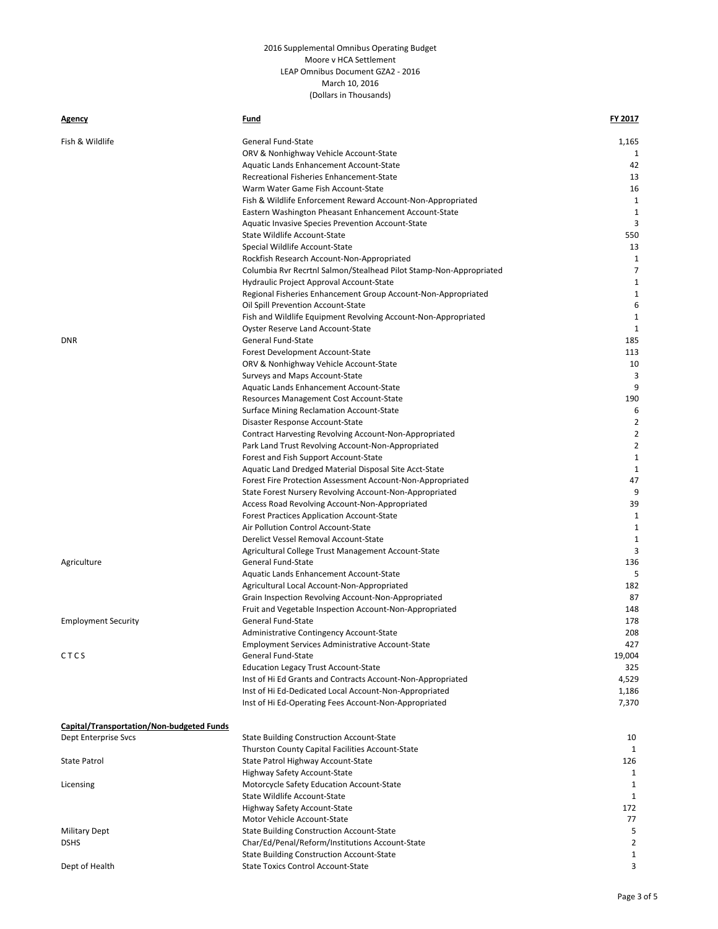| <b>Agency</b>                                    | Fund                                                                                                | FY 2017             |
|--------------------------------------------------|-----------------------------------------------------------------------------------------------------|---------------------|
| Fish & Wildlife                                  | General Fund-State                                                                                  | 1,165               |
|                                                  | ORV & Nonhighway Vehicle Account-State                                                              | 1                   |
|                                                  | Aquatic Lands Enhancement Account-State                                                             | 42                  |
|                                                  | Recreational Fisheries Enhancement-State                                                            | 13                  |
|                                                  | Warm Water Game Fish Account-State                                                                  | 16                  |
|                                                  | Fish & Wildlife Enforcement Reward Account-Non-Appropriated                                         | 1                   |
|                                                  | Eastern Washington Pheasant Enhancement Account-State                                               | 1                   |
|                                                  | Aquatic Invasive Species Prevention Account-State                                                   | 3                   |
|                                                  | State Wildlife Account-State                                                                        | 550                 |
|                                                  | Special Wildlife Account-State                                                                      | 13                  |
|                                                  | Rockfish Research Account-Non-Appropriated                                                          | 1                   |
|                                                  | Columbia Rvr Recrtnl Salmon/Stealhead Pilot Stamp-Non-Appropriated                                  | 7                   |
|                                                  | Hydraulic Project Approval Account-State                                                            | 1                   |
|                                                  | Regional Fisheries Enhancement Group Account-Non-Appropriated                                       | 1                   |
|                                                  | Oil Spill Prevention Account-State                                                                  | 6                   |
|                                                  | Fish and Wildlife Equipment Revolving Account-Non-Appropriated                                      | 1                   |
|                                                  | Oyster Reserve Land Account-State                                                                   | $\mathbf{1}$        |
| <b>DNR</b>                                       | General Fund-State                                                                                  | 185                 |
|                                                  | Forest Development Account-State                                                                    | 113                 |
|                                                  | ORV & Nonhighway Vehicle Account-State                                                              | 10                  |
|                                                  | Surveys and Maps Account-State                                                                      | 3                   |
|                                                  | Aquatic Lands Enhancement Account-State                                                             | 9                   |
|                                                  | Resources Management Cost Account-State                                                             | 190                 |
|                                                  | Surface Mining Reclamation Account-State                                                            | 6                   |
|                                                  | Disaster Response Account-State                                                                     | 2                   |
|                                                  | Contract Harvesting Revolving Account-Non-Appropriated                                              | $\overline{2}$      |
|                                                  | Park Land Trust Revolving Account-Non-Appropriated                                                  | $\overline{2}$<br>1 |
|                                                  | Forest and Fish Support Account-State                                                               | 1                   |
|                                                  | Aquatic Land Dredged Material Disposal Site Acct-State                                              | 47                  |
|                                                  | Forest Fire Protection Assessment Account-Non-Appropriated                                          | 9                   |
|                                                  | State Forest Nursery Revolving Account-Non-Appropriated                                             | 39                  |
|                                                  | Access Road Revolving Account-Non-Appropriated<br><b>Forest Practices Application Account-State</b> | 1                   |
|                                                  | Air Pollution Control Account-State                                                                 | 1                   |
|                                                  | Derelict Vessel Removal Account-State                                                               | $\mathbf{1}$        |
|                                                  | Agricultural College Trust Management Account-State                                                 | 3                   |
| Agriculture                                      | General Fund-State                                                                                  | 136                 |
|                                                  | Aquatic Lands Enhancement Account-State                                                             | 5                   |
|                                                  | Agricultural Local Account-Non-Appropriated                                                         | 182                 |
|                                                  | Grain Inspection Revolving Account-Non-Appropriated                                                 | 87                  |
|                                                  | Fruit and Vegetable Inspection Account-Non-Appropriated                                             | 148                 |
| <b>Employment Security</b>                       | General Fund-State                                                                                  | 178                 |
|                                                  | Administrative Contingency Account-State                                                            | 208                 |
|                                                  | <b>Employment Services Administrative Account-State</b>                                             | 427                 |
| CTCS                                             | <b>General Fund-State</b>                                                                           | 19,004              |
|                                                  | <b>Education Legacy Trust Account-State</b>                                                         | 325                 |
|                                                  | Inst of Hi Ed Grants and Contracts Account-Non-Appropriated                                         | 4,529               |
|                                                  | Inst of Hi Ed-Dedicated Local Account-Non-Appropriated                                              | 1,186               |
|                                                  | Inst of Hi Ed-Operating Fees Account-Non-Appropriated                                               | 7,370               |
| <b>Capital/Transportation/Non-budgeted Funds</b> |                                                                                                     |                     |
| Dept Enterprise Svcs                             | <b>State Building Construction Account-State</b>                                                    | 10                  |
|                                                  | Thurston County Capital Facilities Account-State                                                    | 1                   |
| <b>State Patrol</b>                              | State Patrol Highway Account-State                                                                  | 126                 |
|                                                  | Highway Safety Account-State                                                                        | 1                   |
| Licensing                                        | Motorcycle Safety Education Account-State                                                           | 1                   |
|                                                  | State Wildlife Account-State                                                                        | 1                   |
|                                                  | Highway Safety Account-State                                                                        | 172                 |
|                                                  | Motor Vehicle Account-State                                                                         | 77                  |
| <b>Military Dept</b>                             | <b>State Building Construction Account-State</b>                                                    | 5                   |
| <b>DSHS</b>                                      | Char/Ed/Penal/Reform/Institutions Account-State                                                     | 2                   |
|                                                  | <b>State Building Construction Account-State</b>                                                    | 1                   |
| Dept of Health                                   | <b>State Toxics Control Account-State</b>                                                           | 3                   |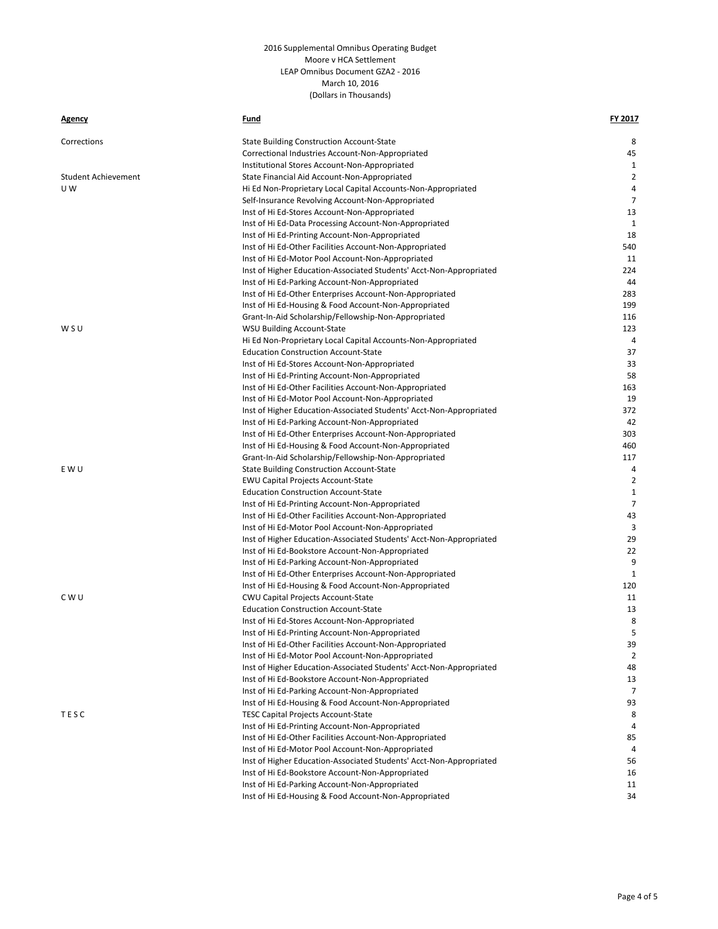| <b>Agency</b>              | Fund                                                                | FY 2017      |
|----------------------------|---------------------------------------------------------------------|--------------|
| Corrections                | <b>State Building Construction Account-State</b>                    | 8            |
|                            | Correctional Industries Account-Non-Appropriated                    | 45           |
|                            | Institutional Stores Account-Non-Appropriated                       | 1            |
| <b>Student Achievement</b> | State Financial Aid Account-Non-Appropriated                        | 2            |
| U W                        | Hi Ed Non-Proprietary Local Capital Accounts-Non-Appropriated       | 4            |
|                            | Self-Insurance Revolving Account-Non-Appropriated                   | 7            |
|                            | Inst of Hi Ed-Stores Account-Non-Appropriated                       | 13           |
|                            | Inst of Hi Ed-Data Processing Account-Non-Appropriated              | $\mathbf{1}$ |
|                            | Inst of Hi Ed-Printing Account-Non-Appropriated                     | 18           |
|                            | Inst of Hi Ed-Other Facilities Account-Non-Appropriated             | 540          |
|                            | Inst of Hi Ed-Motor Pool Account-Non-Appropriated                   | 11           |
|                            | Inst of Higher Education-Associated Students' Acct-Non-Appropriated | 224          |
|                            | Inst of Hi Ed-Parking Account-Non-Appropriated                      | 44           |
|                            | Inst of Hi Ed-Other Enterprises Account-Non-Appropriated            | 283          |
|                            | Inst of Hi Ed-Housing & Food Account-Non-Appropriated               | 199          |
|                            | Grant-In-Aid Scholarship/Fellowship-Non-Appropriated                | 116          |
| WSU                        | WSU Building Account-State                                          | 123          |
|                            | Hi Ed Non-Proprietary Local Capital Accounts-Non-Appropriated       | 4            |
|                            | <b>Education Construction Account-State</b>                         | 37           |
|                            | Inst of Hi Ed-Stores Account-Non-Appropriated                       | 33           |
|                            | Inst of Hi Ed-Printing Account-Non-Appropriated                     | 58           |
|                            | Inst of Hi Ed-Other Facilities Account-Non-Appropriated             | 163          |
|                            | Inst of Hi Ed-Motor Pool Account-Non-Appropriated                   | 19           |
|                            | Inst of Higher Education-Associated Students' Acct-Non-Appropriated | 372          |
|                            | Inst of Hi Ed-Parking Account-Non-Appropriated                      | 42           |
|                            | Inst of Hi Ed-Other Enterprises Account-Non-Appropriated            | 303          |
|                            | Inst of Hi Ed-Housing & Food Account-Non-Appropriated               | 460          |
|                            | Grant-In-Aid Scholarship/Fellowship-Non-Appropriated                | 117          |
| E W U                      | <b>State Building Construction Account-State</b>                    | 4            |
|                            | <b>EWU Capital Projects Account-State</b>                           | 2            |
|                            | <b>Education Construction Account-State</b>                         | $\mathbf{1}$ |
|                            | Inst of Hi Ed-Printing Account-Non-Appropriated                     | 7            |
|                            | Inst of Hi Ed-Other Facilities Account-Non-Appropriated             | 43           |
|                            | Inst of Hi Ed-Motor Pool Account-Non-Appropriated                   | 3            |
|                            | Inst of Higher Education-Associated Students' Acct-Non-Appropriated | 29           |
|                            | Inst of Hi Ed-Bookstore Account-Non-Appropriated                    | 22           |
|                            | Inst of Hi Ed-Parking Account-Non-Appropriated                      | 9            |
|                            | Inst of Hi Ed-Other Enterprises Account-Non-Appropriated            | $\mathbf{1}$ |
|                            | Inst of Hi Ed-Housing & Food Account-Non-Appropriated               | 120          |
| C W U                      | CWU Capital Projects Account-State                                  | 11           |
|                            | <b>Education Construction Account-State</b>                         | 13           |
|                            | Inst of Hi Ed-Stores Account-Non-Appropriated                       | 8            |
|                            | Inst of Hi Ed-Printing Account-Non-Appropriated                     | 5            |
|                            | Inst of Hi Ed-Other Facilities Account-Non-Appropriated             | 39           |
|                            | Inst of Hi Ed-Motor Pool Account-Non-Appropriated                   | 2            |
|                            | Inst of Higher Education-Associated Students' Acct-Non-Appropriated | 48           |
|                            | Inst of Hi Ed-Bookstore Account-Non-Appropriated                    | 13           |
|                            | Inst of Hi Ed-Parking Account-Non-Appropriated                      | 7            |
|                            | Inst of Hi Ed-Housing & Food Account-Non-Appropriated               | 93           |
| TESC                       | <b>TESC Capital Projects Account-State</b>                          | 8            |
|                            | Inst of Hi Ed-Printing Account-Non-Appropriated                     | 4            |
|                            | Inst of Hi Ed-Other Facilities Account-Non-Appropriated             | 85           |
|                            | Inst of Hi Ed-Motor Pool Account-Non-Appropriated                   | 4            |
|                            | Inst of Higher Education-Associated Students' Acct-Non-Appropriated | 56           |
|                            | Inst of Hi Ed-Bookstore Account-Non-Appropriated                    | 16           |
|                            | Inst of Hi Ed-Parking Account-Non-Appropriated                      | 11           |
|                            | Inst of Hi Ed-Housing & Food Account-Non-Appropriated               | 34           |